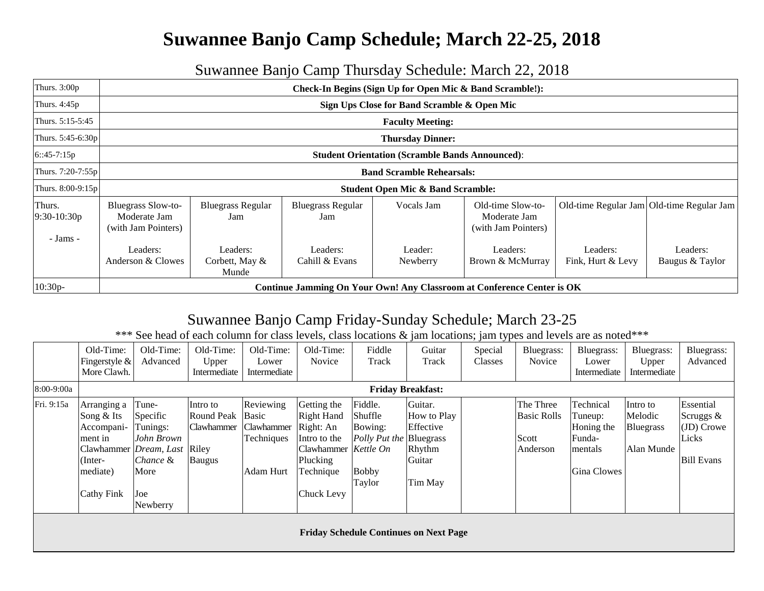## **Suwannee Banjo Camp Schedule; March 22-25, 2018**

## Suwannee Banjo Camp Thursday Schedule: March 22, 2018

| Thurs. $3:00p$          | Check-In Begins (Sign Up for Open Mic & Band Scramble!):         |                                     |                                 |                                              |                                                                        |                               |                                           |  |  |  |  |  |
|-------------------------|------------------------------------------------------------------|-------------------------------------|---------------------------------|----------------------------------------------|------------------------------------------------------------------------|-------------------------------|-------------------------------------------|--|--|--|--|--|
| Thurs. 4:45p            | Sign Ups Close for Band Scramble & Open Mic                      |                                     |                                 |                                              |                                                                        |                               |                                           |  |  |  |  |  |
| Thurs. 5:15-5:45        | <b>Faculty Meeting:</b>                                          |                                     |                                 |                                              |                                                                        |                               |                                           |  |  |  |  |  |
| Thurs. 5:45-6:30p       | <b>Thursday Dinner:</b>                                          |                                     |                                 |                                              |                                                                        |                               |                                           |  |  |  |  |  |
| $6::45-7:15p$           | <b>Student Orientation (Scramble Bands Announced):</b>           |                                     |                                 |                                              |                                                                        |                               |                                           |  |  |  |  |  |
| Thurs. 7:20-7:55p       | <b>Band Scramble Rehearsals:</b>                                 |                                     |                                 |                                              |                                                                        |                               |                                           |  |  |  |  |  |
| Thurs. $8:00-9:15p$     |                                                                  |                                     |                                 | <b>Student Open Mic &amp; Band Scramble:</b> |                                                                        |                               |                                           |  |  |  |  |  |
| Thurs.<br>$9:30-10:30p$ | <b>Bluegrass Slow-to-</b><br>Moderate Jam<br>(with Jam Pointers) | <b>Bluegrass Regular</b><br>Jam     | <b>Bluegrass Regular</b><br>Jam | Vocals Jam                                   | Old-time Slow-to-<br>Moderate Jam<br>(with Jam Pointers)               |                               | Old-time Regular Jam Old-time Regular Jam |  |  |  |  |  |
| - Jams -                | Leaders:<br>Anderson & Clowes                                    | Leaders:<br>Corbett, May &<br>Munde | Leaders:<br>Cahill & Evans      | Leader:<br>Newberry                          | Leaders:<br>Brown & McMurray                                           | Leaders:<br>Fink, Hurt & Levy | Leaders:<br>Baugus & Taylor               |  |  |  |  |  |
| $10:30p-$               |                                                                  |                                     |                                 |                                              | Continue Jamming On Your Own! Any Classroom at Conference Center is OK |                               |                                           |  |  |  |  |  |

## Suwannee Banjo Camp Friday-Sunday Schedule; March 23-25

\*\*\* See head of each column for class levels, class locations & jam locations; jam types and levels are as noted\*\*\*

|            | Old-Time:              | Old-Time:  | Old-Time:    | Old-Time:    | Old-Time:<br>Novice  | Fiddle                         | Guitar                                        | Special | Bluegrass:<br>Novice | Bluegrass:   | Bluegrass:       | Bluegrass:        |
|------------|------------------------|------------|--------------|--------------|----------------------|--------------------------------|-----------------------------------------------|---------|----------------------|--------------|------------------|-------------------|
|            | Fingerstyle $\&$       | Advanced   | Upper        | Lower        |                      | Track                          | Track                                         | Classes |                      | Lower        | Upper            | Advanced          |
|            | More Clawh.            |            | Intermediate | Intermediate |                      |                                |                                               |         |                      | Intermediate | Intermediate     |                   |
| 8:00-9:00a |                        |            |              |              |                      |                                | <b>Friday Breakfast:</b>                      |         |                      |              |                  |                   |
| Fri. 9:15a | Arranging a            | Tune-      | Intro to     | Reviewing    | Getting the          | Fiddle.                        | Guitar.                                       |         | The Three            | Technical    | Intro to         | Essential         |
|            | Song & Its             | Specific   | Round Peak   | Basic        | <b>Right Hand</b>    | Shuffle                        | How to Play                                   |         | <b>Basic Rolls</b>   | Tuneup:      | Melodic          | Scruggs &         |
|            | Accompani-             | Tunings:   | Clawhammer   | Clawhammer   | Right: An            | Bowing:                        | Effective                                     |         |                      | Honing the   | <b>Bluegrass</b> | (JD) Crowe        |
|            | ment in                | John Brown |              | Techniques   | Intro to the         | <i>Polly Put the</i> Bluegrass |                                               |         | Scott                | Funda-       |                  | Licks             |
|            | Clawhammer Dream, Last |            | Riley        |              | Clawhammer Kettle On |                                | Rhythm                                        |         | Anderson             | mentals      | Alan Munde       |                   |
|            | Tnter-                 | Chance &   | Baugus       |              | Plucking             |                                | Guitar                                        |         |                      |              |                  | <b>Bill Evans</b> |
|            | mediate)               | More       |              | Adam Hurt    | Technique            | <b>Bobby</b>                   |                                               |         |                      | Gina Clowes  |                  |                   |
|            |                        |            |              |              |                      | Taylor                         | Tim May                                       |         |                      |              |                  |                   |
|            | <b>Cathy Fink</b>      | Joe        |              |              | Chuck Levy           |                                |                                               |         |                      |              |                  |                   |
|            |                        | Newberry   |              |              |                      |                                |                                               |         |                      |              |                  |                   |
|            |                        |            |              |              |                      |                                |                                               |         |                      |              |                  |                   |
|            |                        |            |              |              |                      |                                | <b>Friday Schedule Continues on Next Page</b> |         |                      |              |                  |                   |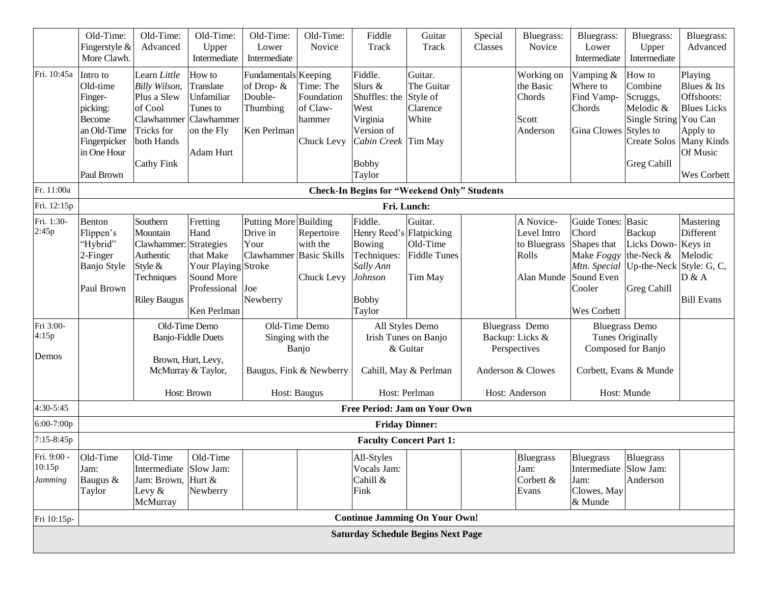|                                                    | Old-Time:<br>Fingerstyle &<br>More Clawh.                                                                         | Old-Time:<br>Advanced                                                                                                  | Old-Time:<br>Upper<br>Intermediate                                                                                                                                                                        | Old-Time:<br>Lower<br>Intermediate                                                                                                       | Old-Time:<br>Novice                                                              | Fiddle<br>Track                                                                                                        | Guitar<br>Track                                                                                                                       | Special<br>Classes | Bluegrass:<br>Novice                                                                                                                             | Bluegrass:<br>Lower<br>Intermediate                                                                    | Bluegrass:<br>Upper<br>Intermediate                                                                                                                                                                        | Bluegrass:<br>Advanced                                                                                   |
|----------------------------------------------------|-------------------------------------------------------------------------------------------------------------------|------------------------------------------------------------------------------------------------------------------------|-----------------------------------------------------------------------------------------------------------------------------------------------------------------------------------------------------------|------------------------------------------------------------------------------------------------------------------------------------------|----------------------------------------------------------------------------------|------------------------------------------------------------------------------------------------------------------------|---------------------------------------------------------------------------------------------------------------------------------------|--------------------|--------------------------------------------------------------------------------------------------------------------------------------------------|--------------------------------------------------------------------------------------------------------|------------------------------------------------------------------------------------------------------------------------------------------------------------------------------------------------------------|----------------------------------------------------------------------------------------------------------|
| Fri. 10:45a                                        | Intro to<br>Old-time<br>Finger-<br>picking:<br>Become<br>an Old-Time<br>Fingerpicker<br>in One Hour<br>Paul Brown | Learn Little<br>Billy Wilson,<br>Plus a Slew<br>of Cool<br>Clawhammer<br>Tricks for<br>both Hands<br><b>Cathy Fink</b> | How to<br>Translate<br>Unfamiliar<br>Tunes to<br><b>Clawhammer</b><br>on the Fly<br><b>Adam Hurt</b>                                                                                                      | Fundamentals<br>of Drop- &<br>Double-<br>Thumbing<br>Ken Perlman                                                                         | Keeping<br>Time: The<br>Foundation<br>of Claw-<br>hammer<br>Chuck Levy           | Fiddle.<br>Slurs &<br>Shuffles: the<br>West<br>Virginia<br>Version of<br>Cabin Creek Tim May<br><b>Bobby</b><br>Taylor | Guitar.<br>The Guitar<br>Style of<br>Clarence<br>White                                                                                |                    | Working on<br>the Basic<br>Chords<br>Scott<br>Anderson                                                                                           | Vamping &<br>Where to<br>Find Vamp-<br>Chords<br>Gina Clowes Styles to                                 | How to<br>Combine<br>Scruggs,<br>Melodic &<br>Single String You Can<br>Create Solos Many Kinds<br><b>Greg Cahill</b>                                                                                       | Playing<br>Blues & Its<br>Offshoots:<br><b>Blues</b> Licks<br>Apply to<br>Of Music<br><b>Wes Corbett</b> |
| Fr. 11:00a                                         |                                                                                                                   |                                                                                                                        |                                                                                                                                                                                                           |                                                                                                                                          |                                                                                  |                                                                                                                        | <b>Check-In Begins for "Weekend Only" Students</b>                                                                                    |                    |                                                                                                                                                  |                                                                                                        |                                                                                                                                                                                                            |                                                                                                          |
| Fri. 12:15p                                        |                                                                                                                   |                                                                                                                        |                                                                                                                                                                                                           |                                                                                                                                          |                                                                                  |                                                                                                                        | Fri. Lunch:                                                                                                                           |                    |                                                                                                                                                  |                                                                                                        |                                                                                                                                                                                                            |                                                                                                          |
| Fri. 1:30-<br>2:45p<br>Fri 3:00-<br>4:15p<br>Demos | Benton<br>Flippen's<br>"Hybrid"<br>2-Finger<br><b>Banjo Style</b><br>Paul Brown                                   | Southern<br>Mountain<br>Clawhammer<br>Authentic<br>Style &<br>Techniques<br><b>Riley Baugus</b>                        | Fretting<br>Hand<br>Strategies<br>that Make<br>Your Playing Stroke<br>Sound More<br>Professional<br>Ken Perlman<br>Old-Time Demo<br><b>Banjo-Fiddle Duets</b><br>Brown, Hurt, Levy,<br>McMurray & Taylor, | <b>Putting More</b><br>Drive in<br>Your<br>Clawhammer<br>Joe<br>Newberry<br>Old-Time Demo<br>Singing with the<br>Baugus, Fink & Newberry | Building<br>Repertoire<br>with the<br><b>Basic Skills</b><br>Chuck Levy<br>Banjo | Fiddle.<br>Henry Reed's Flatpicking<br>Bowing<br>Techniques:<br>Sally Ann<br>Johnson<br><b>Bobby</b><br>Taylor         | Guitar.<br>Old-Time<br><b>Fiddle Tunes</b><br>Tim May<br>All Styles Demo<br>Irish Tunes on Banjo<br>& Guitar<br>Cahill, May & Perlman |                    | A Novice-<br>Level Intro<br>to Bluegrass<br>Rolls<br>Alan Munde<br><b>Bluegrass</b> Demo<br>Backup: Licks &<br>Perspectives<br>Anderson & Clowes | Guide Tones: Basic<br>Chord<br>Shapes that<br>Make Foggy<br>Sound Even<br>Cooler<br><b>Wes Corbett</b> | Backup<br>Licks Down-Keys in<br>the-Neck &<br>Mtn. Special   Up-the-Neck   Style: G, C,<br><b>Greg Cahill</b><br><b>Bluegrass Demo</b><br>Tunes Originally<br>Composed for Banjo<br>Corbett, Evans & Munde | Mastering<br>Different<br>Melodic<br>D & A<br><b>Bill Evans</b>                                          |
|                                                    |                                                                                                                   |                                                                                                                        | Host: Brown                                                                                                                                                                                               | Host: Baugus                                                                                                                             |                                                                                  |                                                                                                                        | Host: Perlman                                                                                                                         | Host: Anderson     |                                                                                                                                                  |                                                                                                        | Host: Munde                                                                                                                                                                                                |                                                                                                          |
| 4:30-5:45                                          |                                                                                                                   |                                                                                                                        |                                                                                                                                                                                                           |                                                                                                                                          |                                                                                  |                                                                                                                        | Free Period: Jam on Your Own                                                                                                          |                    |                                                                                                                                                  |                                                                                                        |                                                                                                                                                                                                            |                                                                                                          |
| 6:00-7:00p                                         |                                                                                                                   |                                                                                                                        |                                                                                                                                                                                                           |                                                                                                                                          |                                                                                  | <b>Friday Dinner:</b>                                                                                                  |                                                                                                                                       |                    |                                                                                                                                                  |                                                                                                        |                                                                                                                                                                                                            |                                                                                                          |
| 7:15-8:45p                                         |                                                                                                                   |                                                                                                                        |                                                                                                                                                                                                           |                                                                                                                                          |                                                                                  |                                                                                                                        | <b>Faculty Concert Part 1:</b>                                                                                                        |                    |                                                                                                                                                  |                                                                                                        |                                                                                                                                                                                                            |                                                                                                          |
| Fri. 9:00 -<br>10:15p<br><b>Jamming</b>            | Old-Time<br>Jam:<br>Baugus &<br>Taylor                                                                            | Old-Time<br>Intermediate Slow Jam:<br>Jam: Brown,<br>Levy $&$<br>McMurray                                              | Old-Time<br>Hurt &<br>Newberry                                                                                                                                                                            |                                                                                                                                          |                                                                                  | All-Styles<br>Vocals Jam:<br>Cahill &<br>Fink                                                                          |                                                                                                                                       |                    | Bluegrass<br>Jam:<br>Corbett &<br>Evans                                                                                                          | <b>Bluegrass</b><br>Intermediate Slow Jam:<br>Jam:<br>Clowes, May<br>& Munde                           | Bluegrass<br>Anderson                                                                                                                                                                                      |                                                                                                          |
| Fri 10:15p-                                        |                                                                                                                   |                                                                                                                        |                                                                                                                                                                                                           |                                                                                                                                          |                                                                                  |                                                                                                                        | <b>Continue Jamming On Your Own!</b>                                                                                                  |                    |                                                                                                                                                  |                                                                                                        |                                                                                                                                                                                                            |                                                                                                          |
|                                                    |                                                                                                                   |                                                                                                                        |                                                                                                                                                                                                           |                                                                                                                                          |                                                                                  |                                                                                                                        | <b>Saturday Schedule Begins Next Page</b>                                                                                             |                    |                                                                                                                                                  |                                                                                                        |                                                                                                                                                                                                            |                                                                                                          |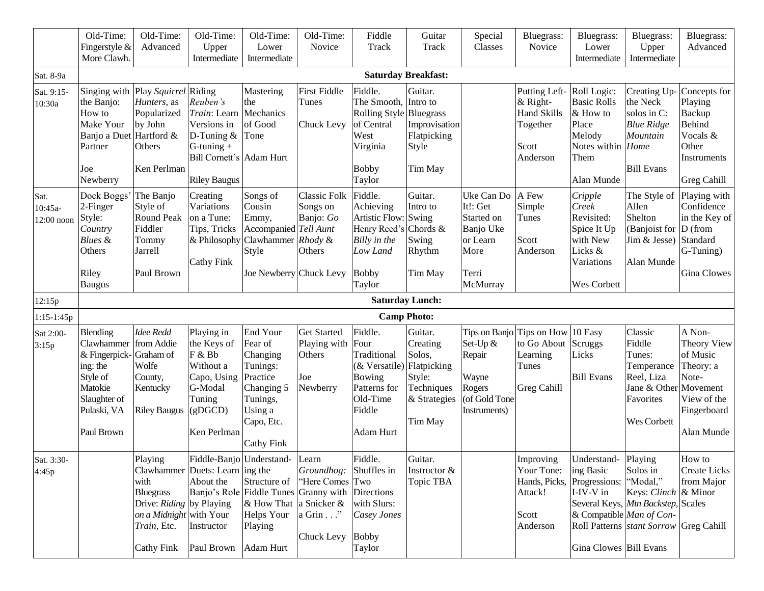|                               | Old-Time:<br>Fingerstyle $&$<br>More Clawh.                                                                                     | Old-Time:<br>Advanced                                                                                                          | Old-Time:<br>Upper<br>Intermediate                                                                                          | Old-Time:<br>Lower<br>Intermediate                                                                                                                       | Old-Time:<br>Novice                                                                            | Fiddle<br>Track                                                                                                             | Guitar<br><b>Track</b>                                                | Special<br>Classes                                                                         | Bluegrass:<br>Novice                                                             | Bluegrass:<br>Lower<br>Intermediate                                                                             | Bluegrass:<br>Upper<br>Intermediate                                                                                                                 | Bluegrass:<br>Advanced                                                                                                   |
|-------------------------------|---------------------------------------------------------------------------------------------------------------------------------|--------------------------------------------------------------------------------------------------------------------------------|-----------------------------------------------------------------------------------------------------------------------------|----------------------------------------------------------------------------------------------------------------------------------------------------------|------------------------------------------------------------------------------------------------|-----------------------------------------------------------------------------------------------------------------------------|-----------------------------------------------------------------------|--------------------------------------------------------------------------------------------|----------------------------------------------------------------------------------|-----------------------------------------------------------------------------------------------------------------|-----------------------------------------------------------------------------------------------------------------------------------------------------|--------------------------------------------------------------------------------------------------------------------------|
| Sat. 8-9a                     |                                                                                                                                 |                                                                                                                                |                                                                                                                             |                                                                                                                                                          |                                                                                                |                                                                                                                             | <b>Saturday Breakfast:</b>                                            |                                                                                            |                                                                                  |                                                                                                                 |                                                                                                                                                     |                                                                                                                          |
| Sat. 9:15-<br>10:30a          | the Banjo:<br>How to<br>Make Your<br>Banjo a Duet Hartford &<br>Partner<br>Joe<br>Newberry                                      | Singing with Play Squirrel Riding<br>Hunters, as<br>Popularized<br>by John<br>Others<br>Ken Perlman                            | Reuben's<br>Train: Learn<br>Versions in<br>D-Tuning $&$<br>$G$ -tuning +<br>Bill Cornett's Adam Hurt<br><b>Riley Baugus</b> | Mastering<br>the<br>Mechanics<br>of Good<br>Tone                                                                                                         | <b>First Fiddle</b><br>Tunes<br>Chuck Levy                                                     | Fiddle.<br>The Smooth, Intro to<br>Rolling Style Bluegrass<br>of Central<br>West<br>Virginia<br><b>Bobby</b><br>Taylor      | Guitar.<br>Improvisation<br>Flatpicking<br>Style<br>Tim May           |                                                                                            | Putting Left-<br>& Right-<br><b>Hand Skills</b><br>Together<br>Scott<br>Anderson | Roll Logic:<br><b>Basic Rolls</b><br>& How to<br>Place<br>Melody<br>Notes within Home<br>Them<br>Alan Munde     | the Neck<br>solos in C:<br><b>Blue Ridge</b><br>Mountain<br><b>Bill Evans</b>                                                                       | Creating Up-Concepts for<br>Playing<br>Backup<br><b>Behind</b><br>Vocals &<br>Other<br>Instruments<br><b>Greg Cahill</b> |
| Sat.<br>10:45a-<br>12:00 noon | Dock Boggs<br>2-Finger<br>Style:<br>Country<br><b>Blues</b> &<br>Others<br>Riley<br>Baugus                                      | The Banjo<br>Style of<br><b>Round Peak</b><br>Fiddler<br>Tommy<br>Jarrell<br>Paul Brown                                        | Creating<br>Variations<br>on a Tune:<br>Tips, Tricks<br>& Philosophy<br>Cathy Fink                                          | Songs of<br>Cousin<br>Emmy,<br>Accompanied Tell Aunt<br>Clawhammer $Rhody &$<br>Style<br>Joe Newberry Chuck Levy                                         | <b>Classic Folk</b><br>Songs on<br>Banjo: Go<br>Others                                         | Fiddle.<br>Achieving<br>Artistic Flow: Swing<br>Henry Reed's Chords &<br>Billy in the<br>Low Land<br><b>Bobby</b><br>Taylor | Guitar.<br>Intro to<br>Swing<br>Rhythm<br>Tim May                     | Uke Can Do<br>It!: Get<br>Started on<br>Banjo Uke<br>or Learn<br>More<br>Terri<br>McMurray | A Few<br>Simple<br>Tunes<br>Scott<br>Anderson                                    | Cripple<br>Creek<br>Revisited:<br>Spice It Up<br>with New<br>Licks &<br>Variations<br>Wes Corbett               | The Style of<br>Allen<br>Shelton<br>(Banjoist for $ D $ (from<br>Jim & Jesse) Standard<br>Alan Munde                                                | Playing with<br>Confidence<br>in the Key of<br>G-Tuning)<br><b>Gina Clowes</b>                                           |
| 12:15p                        |                                                                                                                                 |                                                                                                                                |                                                                                                                             |                                                                                                                                                          |                                                                                                |                                                                                                                             | <b>Saturday Lunch:</b>                                                |                                                                                            |                                                                                  |                                                                                                                 |                                                                                                                                                     |                                                                                                                          |
| $1:15-1:45p$<br>Sat 2:00-     | <b>Blending</b>                                                                                                                 | <b>Idee Redd</b>                                                                                                               | Playing in                                                                                                                  | End Your                                                                                                                                                 | <b>Get Started</b>                                                                             | Fiddle.                                                                                                                     | <b>Camp Photo:</b><br>Guitar.                                         | Tips on Banjo                                                                              | Tips on How                                                                      | 10 Easy                                                                                                         | Classic                                                                                                                                             | A Non-                                                                                                                   |
| 3:15p                         | Clawhammer from Addie<br>& Fingerpick-Graham of<br>ing: the<br>Style of<br>Matokie<br>Slaughter of<br>Pulaski, VA<br>Paul Brown | Wolfe<br>County,<br>Kentucky<br><b>Riley Baugus</b>                                                                            | the Keys of<br>F & Bb<br>Without a<br>Capo, Using<br>G-Modal<br>Tuning<br>(gDGCD)<br>Ken Perlman                            | Fear of<br>Changing<br>Tunings:<br>Practice<br>Changing 5<br>Tunings,<br>Using a<br>Capo, Etc.<br><b>Cathy Fink</b>                                      | Playing with<br>Others<br>Joe<br>Newberry                                                      | Four<br>Traditional<br>$(\&$ Versatile) Flatpicking<br>Bowing<br>Patterns for<br>Old-Time<br>Fiddle<br>Adam Hurt            | Creating<br>Solos,<br>Style:<br>Techniques<br>& Strategies<br>Tim May | Set-Up &<br>Repair<br>Wayne<br>Rogers<br>(of Gold Tone<br>Instruments)                     | to Go About<br>Learning<br>Tunes<br><b>Greg Cahill</b>                           | Scruggs<br>Licks<br><b>Bill Evans</b>                                                                           | Fiddle<br>Tunes:<br>Temperance<br>Reel, Liza<br>Jane & Other Movement<br>Favorites<br><b>Wes Corbett</b>                                            | Theory View<br>of Music<br>Theory: a<br>Note-<br>View of the<br>Fingerboard<br>Alan Munde                                |
| Sat. 3:30-<br>4:45p           |                                                                                                                                 | Playing<br>with<br><b>Bluegrass</b><br>Drive: Riding by Playing<br>on a Midnight with Your<br>Train, Etc.<br><b>Cathy Fink</b> | Clawhammer Duets: Learn ing the<br>About the<br>Instructor<br>Paul Brown                                                    | Fiddle-Banjo   Understand- Learn<br>Structure of<br>Banjo's Role Fiddle Tunes Granny with Directions<br>& How That<br>Helps Your<br>Playing<br>Adam Hurt | <i>Groundhog:</i> Shuffles in<br>"Here Comes Two<br>a Snicker &<br>a Grin"<br>Chuck Levy Bobby | Fiddle.<br>with Slurs:<br>Casey Jones<br>Taylor                                                                             | Guitar.<br>Instructor &<br>Topic TBA                                  |                                                                                            | Improving<br>Your Tone:<br>Attack!<br>Scott<br>Anderson                          | Understand- Playing<br>ing Basic<br>Hands, Picks, Progressions: "Modal,"<br>I-IV-V in<br>Gina Clowes Bill Evans | Solos in<br>Keys: Clinch & Minor<br>Several Keys, Mtn Backstep, Scales<br>& Compatible Man of Con-<br>Roll Patterns <i>stant Sorrow</i> Greg Cahill | How to<br>Create Licks<br>from Major                                                                                     |